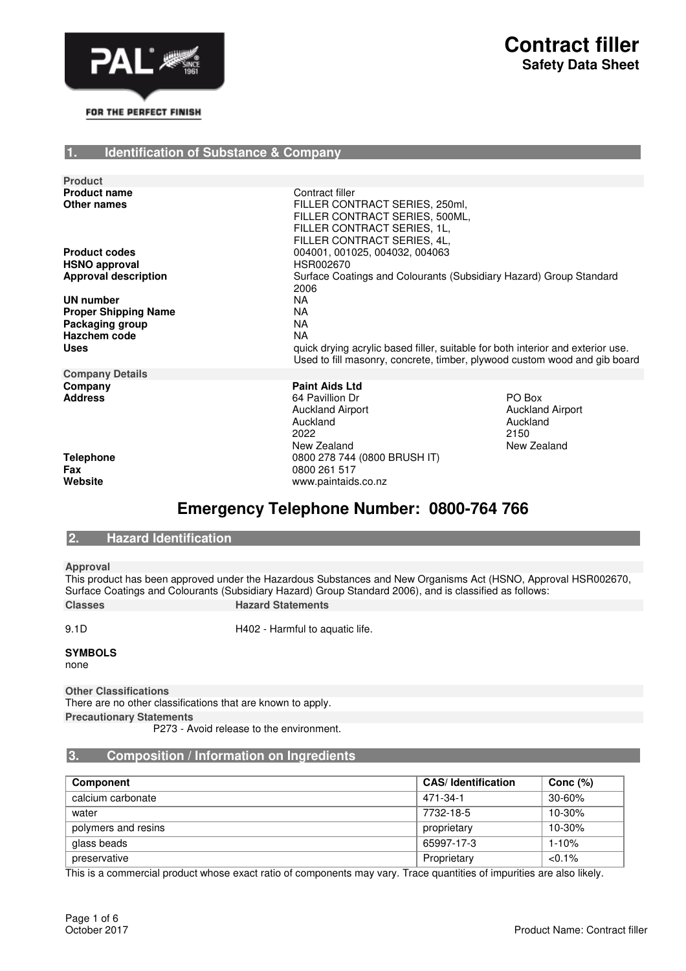

#### **1. Identification of Substance & Company**

| <b>Product</b>                     |                                                                                                                                                   |                                                                                                                                                              |  |
|------------------------------------|---------------------------------------------------------------------------------------------------------------------------------------------------|--------------------------------------------------------------------------------------------------------------------------------------------------------------|--|
| <b>Product name</b><br>Other names | Contract filler<br>FILLER CONTRACT SERIES, 250ml,<br>FILLER CONTRACT SERIES, 500ML,<br>FILLER CONTRACT SERIES, 1L,<br>FILLER CONTRACT SERIES, 4L, |                                                                                                                                                              |  |
| <b>Product codes</b>               | 004001, 001025, 004032, 004063                                                                                                                    |                                                                                                                                                              |  |
| <b>HSNO approval</b>               | HSR002670                                                                                                                                         |                                                                                                                                                              |  |
| <b>Approval description</b>        | 2006                                                                                                                                              | Surface Coatings and Colourants (Subsidiary Hazard) Group Standard                                                                                           |  |
| UN number                          | NA.                                                                                                                                               |                                                                                                                                                              |  |
| <b>Proper Shipping Name</b>        | <b>NA</b>                                                                                                                                         |                                                                                                                                                              |  |
| Packaging group                    | NA                                                                                                                                                |                                                                                                                                                              |  |
| Hazchem code                       | NA                                                                                                                                                |                                                                                                                                                              |  |
|                                    |                                                                                                                                                   |                                                                                                                                                              |  |
| <b>Uses</b>                        |                                                                                                                                                   | quick drying acrylic based filler, suitable for both interior and exterior use.<br>Used to fill masonry, concrete, timber, plywood custom wood and gib board |  |
| <b>Company Details</b>             |                                                                                                                                                   |                                                                                                                                                              |  |
| Company<br><b>Address</b>          | <b>Paint Aids Ltd</b><br>64 Pavillion Dr<br><b>Auckland Airport</b><br>Auckland<br>2022<br>New Zealand                                            | PO Box<br><b>Auckland Airport</b><br>Auckland<br>2150<br>New Zealand                                                                                         |  |

**Telephone** 0800 278 744 (0800 BRUSH IT)<br>**Fax** 0800 261 517 **Fax** 0800 261 517

# **Emergency Telephone Number: 0800-764 766**

**Website** www.paintaids.co.nz

### **2. Hazard Identification**

**Approval**

This product has been approved under the Hazardous Substances and New Organisms Act (HSNO, Approval HSR002670, Surface Coatings and Colourants (Subsidiary Hazard) Group Standard 2006), and is classified as follows: **Classes Hazard Statements** 

9.1D **H402** - Harmful to aquatic life.

#### **SYMBOLS**

none

**Other Classifications**

There are no other classifications that are known to apply. **Precautionary Statements**

P273 - Avoid release to the environment.

#### **3. Composition / Information on Ingredients**

| Component           | <b>CAS/Identification</b> | Conc $(\%)$ |
|---------------------|---------------------------|-------------|
| calcium carbonate   | 471-34-1                  | $30 - 60%$  |
| water               | 7732-18-5                 | $10 - 30%$  |
| polymers and resins | proprietary               | $10 - 30%$  |
| glass beads         | 65997-17-3                | $1 - 10%$   |
| preservative        | Proprietary               | $< 0.1\%$   |

This is a commercial product whose exact ratio of components may vary. Trace quantities of impurities are also likely.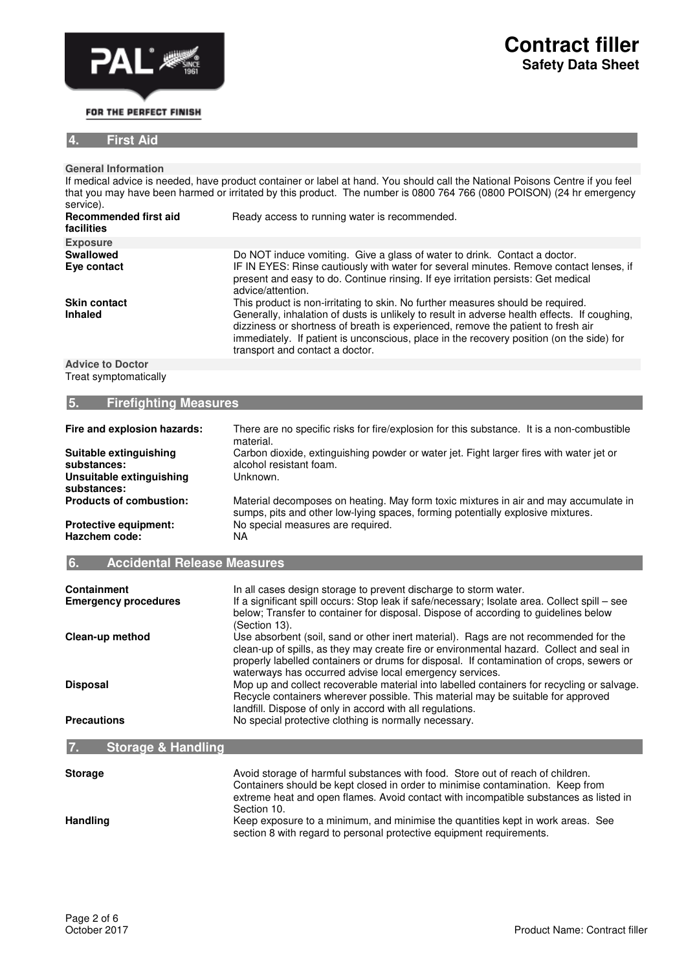

# **Contract filler Safety Data Sheet**

### **4. First Aid**

| <u>.</u>                                                                         |                                                                                                                                                                                                                                                                                                                                                                                                    |
|----------------------------------------------------------------------------------|----------------------------------------------------------------------------------------------------------------------------------------------------------------------------------------------------------------------------------------------------------------------------------------------------------------------------------------------------------------------------------------------------|
|                                                                                  |                                                                                                                                                                                                                                                                                                                                                                                                    |
| <b>General Information</b>                                                       |                                                                                                                                                                                                                                                                                                                                                                                                    |
| service).                                                                        | If medical advice is needed, have product container or label at hand. You should call the National Poisons Centre if you feel<br>that you may have been harmed or irritated by this product. The number is 0800 764 766 (0800 POISON) (24 hr emergency                                                                                                                                             |
| <b>Recommended first aid</b><br>facilities                                       | Ready access to running water is recommended.                                                                                                                                                                                                                                                                                                                                                      |
| <b>Exposure</b>                                                                  |                                                                                                                                                                                                                                                                                                                                                                                                    |
| <b>Swallowed</b><br>Eye contact                                                  | Do NOT induce vomiting. Give a glass of water to drink. Contact a doctor.<br>IF IN EYES: Rinse cautiously with water for several minutes. Remove contact lenses, if<br>present and easy to do. Continue rinsing. If eye irritation persists: Get medical<br>advice/attention.                                                                                                                      |
| <b>Skin contact</b><br><b>Inhaled</b>                                            | This product is non-irritating to skin. No further measures should be required.<br>Generally, inhalation of dusts is unlikely to result in adverse health effects. If coughing,<br>dizziness or shortness of breath is experienced, remove the patient to fresh air<br>immediately. If patient is unconscious, place in the recovery position (on the side) for<br>transport and contact a doctor. |
| <b>Advice to Doctor</b>                                                          |                                                                                                                                                                                                                                                                                                                                                                                                    |
| Treat symptomatically                                                            |                                                                                                                                                                                                                                                                                                                                                                                                    |
| <b>Firefighting Measures</b><br>5.                                               |                                                                                                                                                                                                                                                                                                                                                                                                    |
| Fire and explosion hazards:                                                      | There are no specific risks for fire/explosion for this substance. It is a non-combustible<br>material.                                                                                                                                                                                                                                                                                            |
| Suitable extinguishing<br>substances:<br>Unsuitable extinguishing<br>substances: | Carbon dioxide, extinguishing powder or water jet. Fight larger fires with water jet or<br>alcohol resistant foam.<br>Unknown.                                                                                                                                                                                                                                                                     |
| <b>Products of combustion:</b>                                                   | Material decomposes on heating. May form toxic mixtures in air and may accumulate in<br>sumps, pits and other low-lying spaces, forming potentially explosive mixtures.                                                                                                                                                                                                                            |
| <b>Protective equipment:</b><br>Hazchem code:                                    | No special measures are required.<br><b>NA</b>                                                                                                                                                                                                                                                                                                                                                     |

| 6. | Accidental Release Measures, |
|----|------------------------------|
|----|------------------------------|

| <b>Containment</b><br><b>Emergency procedures</b> | In all cases design storage to prevent discharge to storm water.<br>If a significant spill occurs: Stop leak if safe/necessary; Isolate area. Collect spill - see<br>below; Transfer to container for disposal. Dispose of according to guidelines below<br>(Section 13).                                                               |
|---------------------------------------------------|-----------------------------------------------------------------------------------------------------------------------------------------------------------------------------------------------------------------------------------------------------------------------------------------------------------------------------------------|
| Clean-up method                                   | Use absorbent (soil, sand or other inert material). Rags are not recommended for the<br>clean-up of spills, as they may create fire or environmental hazard. Collect and seal in<br>properly labelled containers or drums for disposal. If contamination of crops, sewers or<br>waterways has occurred advise local emergency services. |
| <b>Disposal</b>                                   | Mop up and collect recoverable material into labelled containers for recycling or salvage.<br>Recycle containers wherever possible. This material may be suitable for approved<br>landfill. Dispose of only in accord with all regulations.                                                                                             |
| <b>Precautions</b>                                | No special protective clothing is normally necessary.                                                                                                                                                                                                                                                                                   |

## **7. Storage & Handling**

| <b>Storage</b> | Avoid storage of harmful substances with food. Store out of reach of children.<br>Containers should be kept closed in order to minimise contamination. Keep from<br>extreme heat and open flames. Avoid contact with incompatible substances as listed in |  |
|----------------|-----------------------------------------------------------------------------------------------------------------------------------------------------------------------------------------------------------------------------------------------------------|--|
|                | Section 10.                                                                                                                                                                                                                                               |  |
| Handling       | Keep exposure to a minimum, and minimise the quantities kept in work areas. See<br>section 8 with regard to personal protective equipment requirements.                                                                                                   |  |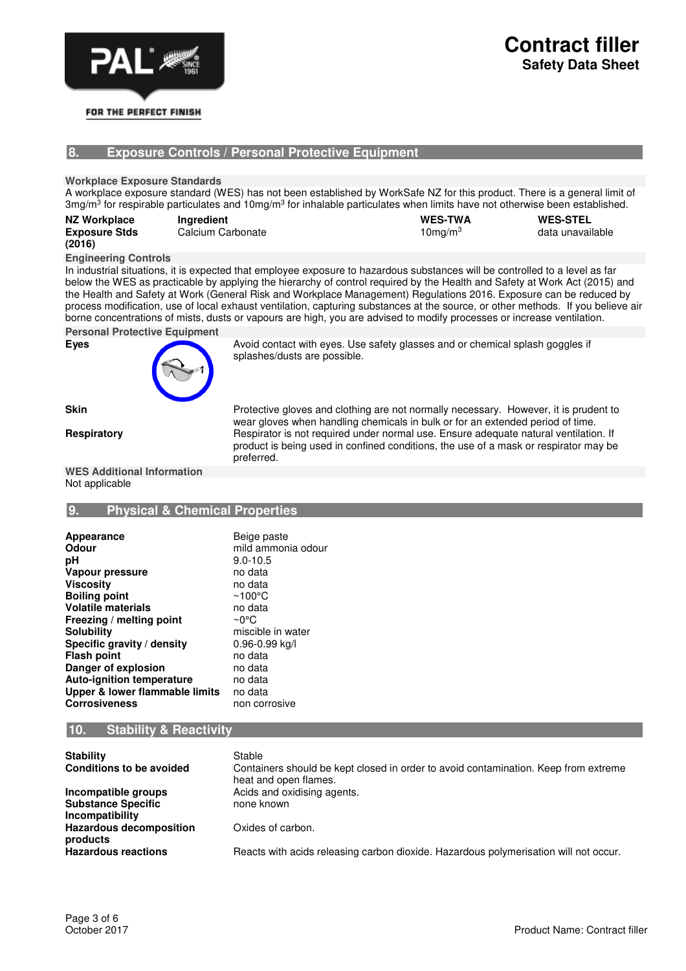

# **Contract filler Safety Data Sheet**

#### **8. Exposure Controls / Personal Protective Equipment**

**Workplace Exposure Standards**

A workplace exposure standard (WES) has not been established by WorkSafe NZ for this product. There is a general limit of 3mg/m<sup>3</sup> for respirable particulates and 10mg/m<sup>3</sup> for inhalable particulates when limits have not otherwise been established.

| <b>NZ Workplace</b>  | Ingredient        | <b>WES-TWA</b> | <b>WES-STEL</b>  |
|----------------------|-------------------|----------------|------------------|
| <b>Exposure Stds</b> | Calcium Carbonate | $10$ mg/m $3$  | data unavailable |
| (2016)               |                   |                |                  |

### **Engineering Controls**

In industrial situations, it is expected that employee exposure to hazardous substances will be controlled to a level as far below the WES as practicable by applying the hierarchy of control required by the Health and Safety at Work Act (2015) and the Health and Safety at Work (General Risk and Workplace Management) Regulations 2016. Exposure can be reduced by process modification, use of local exhaust ventilation, capturing substances at the source, or other methods. If you believe air borne concentrations of mists, dusts or vapours are high, you are advised to modify processes or increase ventilation.

splashes/dusts are possible.

**Personal Protective Equipment**



**Skin Protective gloves and clothing are not normally necessary. However, it is prudent to** wear gloves when handling chemicals in bulk or for an extended period of time. **Respiratory Respirator is not required under normal use. Ensure adequate natural ventilation. If** product is being used in confined conditions, the use of a mask or respirator may be preferred.

#### **WES Additional Information** Not applicable

#### **9. Physical & Chemical Properties**

| Appearance<br>Odour<br>рH<br>Vapour pressure<br><b>Viscosity</b><br><b>Boiling point</b><br><b>Volatile materials</b><br>Freezing / melting point<br><b>Solubility</b><br>Specific gravity / density<br><b>Flash point</b><br>Danger of explosion | Beige paste<br>mild ammonia odour<br>$9.0 - 10.5$<br>no data<br>no data<br>$~100^{\circ}$ C<br>no data<br>∼0°C<br>miscible in water<br>0.96-0.99 kg/l<br>no data<br>no data<br>no data |
|---------------------------------------------------------------------------------------------------------------------------------------------------------------------------------------------------------------------------------------------------|----------------------------------------------------------------------------------------------------------------------------------------------------------------------------------------|
| <b>Auto-ignition temperature</b><br>Upper & lower flammable limits<br><b>Corrosiveness</b>                                                                                                                                                        | no data<br>non corrosive                                                                                                                                                               |

#### **10. Stability & Reactivity**

| <b>Stability</b><br><b>Conditions to be avoided</b>                        | Stable<br>Containers should be kept closed in order to avoid contamination. Keep from extreme<br>heat and open flames. |
|----------------------------------------------------------------------------|------------------------------------------------------------------------------------------------------------------------|
| Incompatible groups<br><b>Substance Specific</b><br><b>Incompatibility</b> | Acids and oxidising agents.<br>none known                                                                              |
| <b>Hazardous decomposition</b><br>products                                 | Oxides of carbon.                                                                                                      |
| <b>Hazardous reactions</b>                                                 | Reacts with acids releasing carbon dioxide. Hazardous polymerisation will not occur.                                   |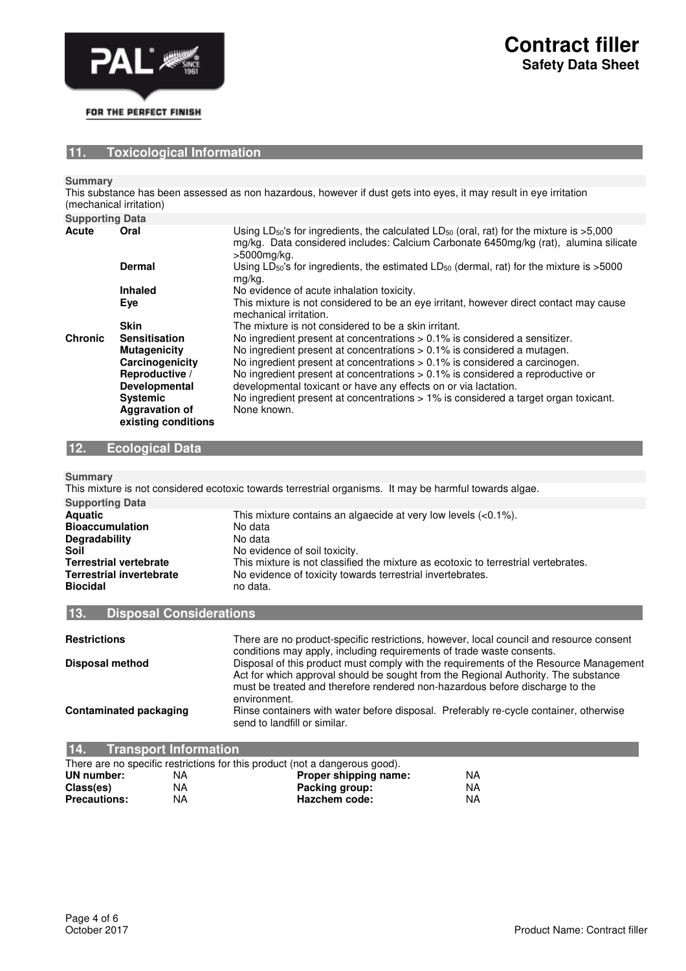

#### **11. Toxicological Information**

**Summary**

This substance has been assessed as non hazardous, however if dust gets into eyes, it may result in eye irritation (mechanical irritation)

| <b>Supporting Data</b> |                                              |                                                                                                                                                                                                                           |
|------------------------|----------------------------------------------|---------------------------------------------------------------------------------------------------------------------------------------------------------------------------------------------------------------------------|
| <b>Acute</b>           | Oral                                         | Using LD <sub>50</sub> 's for ingredients, the calculated LD <sub>50</sub> (oral, rat) for the mixture is $>5,000$<br>mg/kg. Data considered includes: Calcium Carbonate 6450mg/kg (rat), alumina silicate<br>>5000mg/kg. |
|                        | Dermal                                       | Using $LD_{50}$ 's for ingredients, the estimated $LD_{50}$ (dermal, rat) for the mixture is $>5000$<br>mg/kg.                                                                                                            |
|                        | <b>Inhaled</b>                               | No evidence of acute inhalation toxicity.                                                                                                                                                                                 |
|                        | Eye                                          | This mixture is not considered to be an eye irritant, however direct contact may cause<br>mechanical irritation.                                                                                                          |
|                        | <b>Skin</b>                                  | The mixture is not considered to be a skin irritant.                                                                                                                                                                      |
| <b>Chronic</b>         | <b>Sensitisation</b>                         | No ingredient present at concentrations $> 0.1\%$ is considered a sensitizer.                                                                                                                                             |
|                        | <b>Mutagenicity</b>                          | No ingredient present at concentrations $> 0.1\%$ is considered a mutagen.                                                                                                                                                |
|                        | Carcinogenicity                              | No ingredient present at concentrations $> 0.1\%$ is considered a carcinogen.                                                                                                                                             |
|                        | Reproductive /                               | No ingredient present at concentrations $> 0.1\%$ is considered a reproductive or                                                                                                                                         |
|                        | Developmental                                | developmental toxicant or have any effects on or via lactation.                                                                                                                                                           |
|                        | <b>Systemic</b>                              | No ingredient present at concentrations > 1% is considered a target organ toxicant.                                                                                                                                       |
|                        | <b>Aggravation of</b><br>existing conditions | None known.                                                                                                                                                                                                               |

## **12. Ecological Data**

**Summary**

|                                 | This mixture is not considered ecotoxic towards terrestrial organisms. It may be harmful towards algae. |
|---------------------------------|---------------------------------------------------------------------------------------------------------|
| <b>Supporting Data</b>          |                                                                                                         |
| <b>Aquatic</b>                  | This mixture contains an algaecide at very low levels $(<0.1\%)$ .                                      |
| <b>Bioaccumulation</b>          | No data                                                                                                 |
| <b>Degradability</b>            | No data                                                                                                 |
| Soil                            | No evidence of soil toxicity.                                                                           |
| <b>Terrestrial vertebrate</b>   | This mixture is not classified the mixture as ecotoxic to terrestrial vertebrates.                      |
| <b>Terrestrial invertebrate</b> | No evidence of toxicity towards terrestrial invertebrates.                                              |
| <b>Biocidal</b>                 | no data.                                                                                                |
|                                 |                                                                                                         |

#### **13. Disposal Considerations**

| <b>Restrictions</b>    | There are no product-specific restrictions, however, local council and resource consent<br>conditions may apply, including requirements of trade waste consents.                                                                                                            |
|------------------------|-----------------------------------------------------------------------------------------------------------------------------------------------------------------------------------------------------------------------------------------------------------------------------|
| Disposal method        | Disposal of this product must comply with the requirements of the Resource Management<br>Act for which approval should be sought from the Regional Authority. The substance<br>must be treated and therefore rendered non-hazardous before discharge to the<br>environment. |
| Contaminated packaging | Rinse containers with water before disposal. Preferably re-cycle container, otherwise<br>send to landfill or similar.                                                                                                                                                       |

| <b>14.</b><br>Transport Information |    |                                                                             |    |  |
|-------------------------------------|----|-----------------------------------------------------------------------------|----|--|
|                                     |    | There are no specific restrictions for this product (not a dangerous good). |    |  |
| UN number:                          | ΝA | Proper shipping name:                                                       | ΝA |  |
| Class(es)                           | ΝA | Packing group:                                                              | ΝA |  |
| <b>Precautions:</b>                 | NA | Hazchem code:                                                               | NA |  |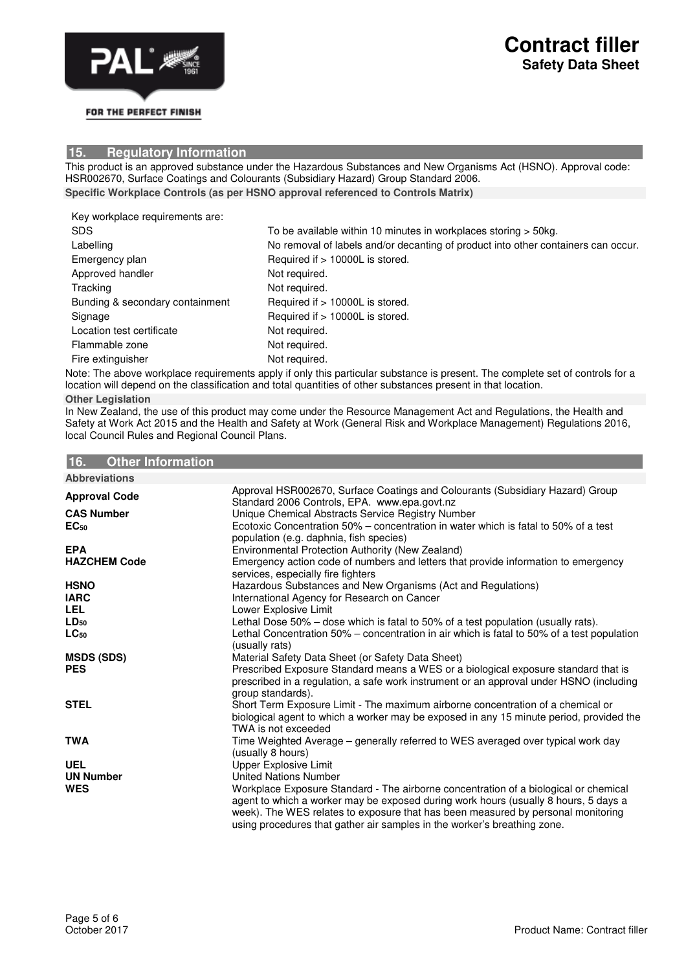

#### **15. Regulatory Information**

This product is an approved substance under the Hazardous Substances and New Organisms Act (HSNO). Approval code: HSR002670, Surface Coatings and Colourants (Subsidiary Hazard) Group Standard 2006. **Specific Workplace Controls (as per HSNO approval referenced to Controls Matrix)**

Key workplace requirements are:

| <b>SDS</b>                      | To be available within 10 minutes in workplaces storing > 50kg.                   |
|---------------------------------|-----------------------------------------------------------------------------------|
| Labelling                       | No removal of labels and/or decanting of product into other containers can occur. |
| Emergency plan                  | Required if > 10000L is stored.                                                   |
| Approved handler                | Not required.                                                                     |
| Tracking                        | Not required.                                                                     |
| Bunding & secondary containment | Required if > 10000L is stored.                                                   |
| Signage                         | Required if > 10000L is stored.                                                   |
| Location test certificate       | Not required.                                                                     |
| Flammable zone                  | Not required.                                                                     |
| Fire extinguisher               | Not required.                                                                     |

Note: The above workplace requirements apply if only this particular substance is present. The complete set of controls for a location will depend on the classification and total quantities of other substances present in that location. **Other Legislation**

In New Zealand, the use of this product may come under the Resource Management Act and Regulations, the Health and Safety at Work Act 2015 and the Health and Safety at Work (General Risk and Workplace Management) Regulations 2016, local Council Rules and Regional Council Plans.

#### **16. Other Information**

| <b>Abbreviations</b> |                                                                                                                               |
|----------------------|-------------------------------------------------------------------------------------------------------------------------------|
| <b>Approval Code</b> | Approval HSR002670, Surface Coatings and Colourants (Subsidiary Hazard) Group<br>Standard 2006 Controls, EPA. www.epa.govt.nz |
| <b>CAS Number</b>    | Unique Chemical Abstracts Service Registry Number                                                                             |
| EC <sub>50</sub>     | Ecotoxic Concentration 50% – concentration in water which is fatal to 50% of a test                                           |
|                      | population (e.g. daphnia, fish species)                                                                                       |
| <b>EPA</b>           | Environmental Protection Authority (New Zealand)                                                                              |
| <b>HAZCHEM Code</b>  | Emergency action code of numbers and letters that provide information to emergency                                            |
|                      | services, especially fire fighters                                                                                            |
| <b>HSNO</b>          | Hazardous Substances and New Organisms (Act and Regulations)                                                                  |
| <b>IARC</b>          | International Agency for Research on Cancer                                                                                   |
| <b>LEL</b>           | Lower Explosive Limit                                                                                                         |
| $LD_{50}$            | Lethal Dose 50% – dose which is fatal to 50% of a test population (usually rats).                                             |
| $LC_{50}$            | Lethal Concentration 50% – concentration in air which is fatal to 50% of a test population                                    |
|                      | (usually rats)                                                                                                                |
| <b>MSDS (SDS)</b>    | Material Safety Data Sheet (or Safety Data Sheet)                                                                             |
| <b>PES</b>           | Prescribed Exposure Standard means a WES or a biological exposure standard that is                                            |
|                      | prescribed in a regulation, a safe work instrument or an approval under HSNO (including                                       |
|                      | group standards).                                                                                                             |
| <b>STEL</b>          | Short Term Exposure Limit - The maximum airborne concentration of a chemical or                                               |
|                      | biological agent to which a worker may be exposed in any 15 minute period, provided the                                       |
|                      | TWA is not exceeded                                                                                                           |
| <b>TWA</b>           | Time Weighted Average - generally referred to WES averaged over typical work day                                              |
|                      | (usually 8 hours)                                                                                                             |
| <b>UEL</b>           | <b>Upper Explosive Limit</b>                                                                                                  |
| <b>UN Number</b>     | United Nations Number                                                                                                         |
| <b>WES</b>           | Workplace Exposure Standard - The airborne concentration of a biological or chemical                                          |
|                      | agent to which a worker may be exposed during work hours (usually 8 hours, 5 days a                                           |
|                      | week). The WES relates to exposure that has been measured by personal monitoring                                              |
|                      | using procedures that gather air samples in the worker's breathing zone.                                                      |